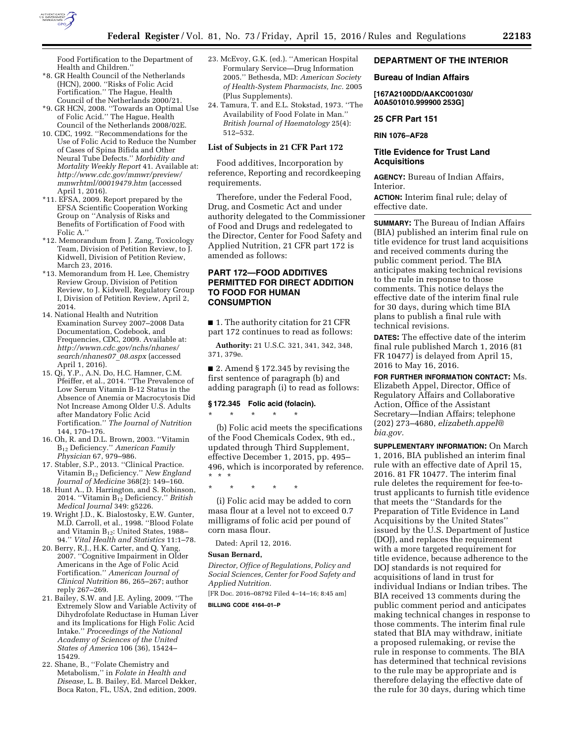

Food Fortification to the Department of Health and Children.''

- \*8. GR Health Council of the Netherlands (HCN), 2000. ''Risks of Folic Acid Fortification.'' The Hague, Health Council of the Netherlands 2000/21.
- \*9. GR HCN, 2008. ''Towards an Optimal Use of Folic Acid.'' The Hague, Health Council of the Netherlands 2008/02E.
- 10. CDC, 1992. ''Recommendations for the Use of Folic Acid to Reduce the Number of Cases of Spina Bifida and Other Neural Tube Defects.'' *Morbidity and Mortality Weekly Report* 41. Available at: *[http://www.cdc.gov/mmwr/preview/](http://www.cdc.gov/mmwr/preview/mmwrhtml/00019479.htm) [mmwrhtml/00019479.htm](http://www.cdc.gov/mmwr/preview/mmwrhtml/00019479.htm)* (accessed April 1, 2016).
- \*11. EFSA, 2009. Report prepared by the EFSA Scientific Cooperation Working Group on ''Analysis of Risks and Benefits of Fortification of Food with Folic A.
- \*12. Memorandum from J. Zang, Toxicology Team, Division of Petition Review, to J. Kidwell, Division of Petition Review, March 23, 2016.
- \*13. Memorandum from H. Lee, Chemistry Review Group, Division of Petition Review, to J. Kidwell, Regulatory Group I, Division of Petition Review, April 2, 2014.
- 14. National Health and Nutrition Examination Survey 2007–2008 Data Documentation, Codebook, and Frequencies, CDC, 2009. Available at: *[http://wwwn.cdc.gov/nchs/nhanes/](http://wwwn.cdc.gov/nchs/nhanes/search/nhanes07_08.aspx) [search/nhanes07](http://wwwn.cdc.gov/nchs/nhanes/search/nhanes07_08.aspx)*\_*08.aspx* (accessed April 1, 2016).
- 15. Qi, Y.P., A.N. Do, H.C. Hamner, C.M. Pfeiffer, et al., 2014. ''The Prevalence of Low Serum Vitamin B-12 Status in the Absence of Anemia or Macrocytosis Did Not Increase Among Older U.S. Adults after Mandatory Folic Acid Fortification.'' *The Journal of Nutrition*  144, 170–176.
- 16. Oh, R. and D.L. Brown, 2003. ''Vitamin B12 Deficiency.'' *American Family Physician* 67, 979–986.
- 17. Stabler, S.P., 2013. ''Clinical Practice. Vitamin B12 Deficiency.'' *New England Journal of Medicine* 368(2): 149–160.
- 18. Hunt A., D. Harrington, and S. Robinson, 2014. ''Vitamin B12 Deficiency.'' *British Medical Journal* 349: g5226.
- 19. Wright J.D., K. Bialostosky, E.W. Gunter, M.D. Carroll, et al., 1998. ''Blood Folate and Vitamin B12: United States, 1988– 94.'' *Vital Health and Statistics* 11:1–78.
- 20. Berry, R.J., H.K. Carter, and Q. Yang, 2007. ''Cognitive Impairment in Older Americans in the Age of Folic Acid Fortification.'' *American Journal of Clinical Nutrition* 86, 265–267; author reply 267–269.
- 21. Bailey, S.W. and J.E. Ayling, 2009. ''The Extremely Slow and Variable Activity of Dihydrofolate Reductase in Human Liver and its Implications for High Folic Acid Intake.'' *Proceedings of the National Academy of Sciences of the United States of America* 106 (36), 15424– 15429.
- 22. Shane, B., ''Folate Chemistry and Metabolism,'' in *Folate in Health and Disease,* L. B. Bailey, Ed. Marcel Dekker, Boca Raton, FL, USA, 2nd edition, 2009.
- 23. McEvoy, G.K. (ed.). ''American Hospital Formulary Service—Drug Information 2005.'' Bethesda, MD: *American Society of Health-System Pharmacists, Inc.* 2005 (Plus Supplements).
- 24. Tamura, T. and E.L. Stokstad, 1973. ''The Availability of Food Folate in Man.'' *British Journal of Haematology* 25(4): 512–532.

## **List of Subjects in 21 CFR Part 172**

Food additives, Incorporation by reference, Reporting and recordkeeping requirements.

Therefore, under the Federal Food, Drug, and Cosmetic Act and under authority delegated to the Commissioner of Food and Drugs and redelegated to the Director, Center for Food Safety and Applied Nutrition, 21 CFR part 172 is amended as follows:

## **PART 172—FOOD ADDITIVES PERMITTED FOR DIRECT ADDITION TO FOOD FOR HUMAN CONSUMPTION**

■ 1. The authority citation for 21 CFR part 172 continues to read as follows:

**Authority:** 21 U.S.C. 321, 341, 342, 348, 371, 379e.

■ 2. Amend § 172.345 by revising the first sentence of paragraph (b) and adding paragraph (i) to read as follows:

## **§ 172.345 Folic acid (folacin).**

\* \* \* \* \*

(b) Folic acid meets the specifications of the Food Chemicals Codex, 9th ed., updated through Third Supplement, effective December 1, 2015, pp. 495– 496, which is incorporated by reference. \* \* \*

\* \* \* \* \*

(i) Folic acid may be added to corn masa flour at a level not to exceed 0.7 milligrams of folic acid per pound of corn masa flour.

Dated: April 12, 2016.

## **Susan Bernard,**

*Director, Office of Regulations, Policy and Social Sciences, Center for Food Safety and Applied Nutrition.* 

[FR Doc. 2016–08792 Filed 4–14–16; 8:45 am]

**BILLING CODE 4164–01–P** 

# **DEPARTMENT OF THE INTERIOR**

#### **Bureau of Indian Affairs**

**[167A2100DD/AAKC001030/ A0A501010.999900 253G]** 

#### **25 CFR Part 151**

**RIN 1076–AF28** 

#### **Title Evidence for Trust Land Acquisitions**

**AGENCY:** Bureau of Indian Affairs, Interior.

**ACTION:** Interim final rule; delay of effective date.

**SUMMARY:** The Bureau of Indian Affairs (BIA) published an interim final rule on title evidence for trust land acquisitions and received comments during the public comment period. The BIA anticipates making technical revisions to the rule in response to those comments. This notice delays the effective date of the interim final rule for 30 days, during which time BIA plans to publish a final rule with technical revisions.

**DATES:** The effective date of the interim final rule published March 1, 2016 (81 FR 10477) is delayed from April 15, 2016 to May 16, 2016.

**FOR FURTHER INFORMATION CONTACT:** Ms. Elizabeth Appel, Director, Office of Regulatory Affairs and Collaborative Action, Office of the Assistant Secretary—Indian Affairs; telephone (202) 273–4680, *[elizabeth.appel@](mailto:elizabeth.appel@bia.gov) [bia.gov.](mailto:elizabeth.appel@bia.gov)* 

**SUPPLEMENTARY INFORMATION:** On March 1, 2016, BIA published an interim final rule with an effective date of April 15, 2016. 81 FR 10477. The interim final rule deletes the requirement for fee-totrust applicants to furnish title evidence that meets the ''Standards for the Preparation of Title Evidence in Land Acquisitions by the United States'' issued by the U.S. Department of Justice (DOJ), and replaces the requirement with a more targeted requirement for title evidence, because adherence to the DOJ standards is not required for acquisitions of land in trust for individual Indians or Indian tribes. The BIA received 13 comments during the public comment period and anticipates making technical changes in response to those comments. The interim final rule stated that BIA may withdraw, initiate a proposed rulemaking, or revise the rule in response to comments. The BIA has determined that technical revisions to the rule may be appropriate and is therefore delaying the effective date of the rule for 30 days, during which time